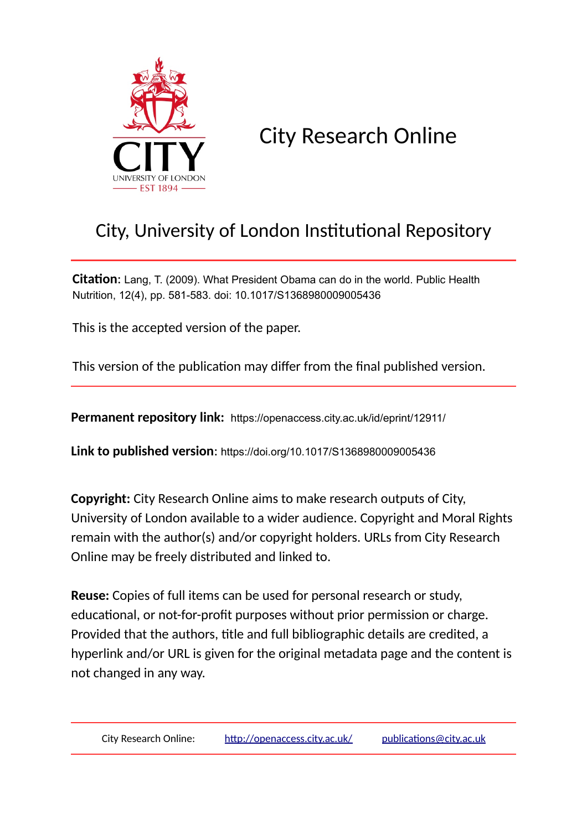

City Research Online

# City, University of London Institutional Repository

**Citation**: Lang, T. (2009). What President Obama can do in the world. Public Health Nutrition, 12(4), pp. 581-583. doi: 10.1017/S1368980009005436

This is the accepted version of the paper.

This version of the publication may differ from the final published version.

**Permanent repository link:** https://openaccess.city.ac.uk/id/eprint/12911/

**Link to published version**: https://doi.org/10.1017/S1368980009005436

**Copyright:** City Research Online aims to make research outputs of City, University of London available to a wider audience. Copyright and Moral Rights remain with the author(s) and/or copyright holders. URLs from City Research Online may be freely distributed and linked to.

**Reuse:** Copies of full items can be used for personal research or study, educational, or not-for-profit purposes without prior permission or charge. Provided that the authors, title and full bibliographic details are credited, a hyperlink and/or URL is given for the original metadata page and the content is not changed in any way.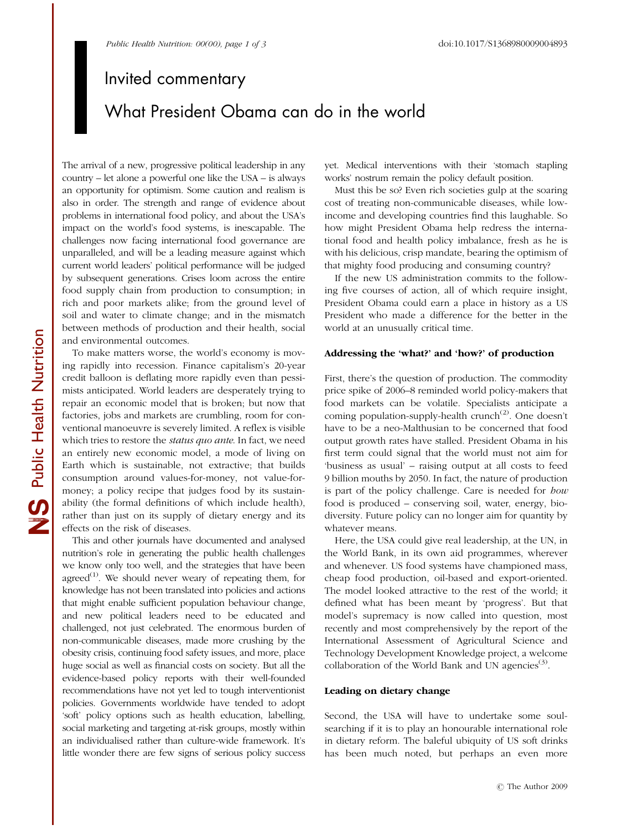# Invited commentary

# What President Obama can do in the world

The arrival of a new, progressive political leadership in any country – let alone a powerful one like the USA – is always an opportunity for optimism. Some caution and realism is also in order. The strength and range of evidence about problems in international food policy, and about the USA's impact on the world's food systems, is inescapable. The challenges now facing international food governance are unparalleled, and will be a leading measure against which current world leaders' political performance will be judged by subsequent generations. Crises loom across the entire food supply chain from production to consumption; in rich and poor markets alike; from the ground level of soil and water to climate change; and in the mismatch between methods of production and their health, social and environmental outcomes.

To make matters worse, the world's economy is moving rapidly into recession. Finance capitalism's 20-year credit balloon is deflating more rapidly even than pessimists anticipated. World leaders are desperately trying to repair an economic model that is broken; but now that factories, jobs and markets are crumbling, room for conventional manoeuvre is severely limited. A reflex is visible which tries to restore the *status quo ante*. In fact, we need an entirely new economic model, a mode of living on Earth which is sustainable, not extractive; that builds consumption around values-for-money, not value-formoney; a policy recipe that judges food by its sustainability (the formal definitions of which include health), rather than just on its supply of dietary energy and its effects on the risk of diseases.

This and other journals have documented and analysed nutrition's role in generating the public health challenges we know only too well, and the strategies that have been agreed<sup>(1)</sup>. We should never weary of repeating them, for knowledge has not been translated into policies and actions that might enable sufficient population behaviour change, and new political leaders need to be educated and challenged, not just celebrated. The enormous burden of non-communicable diseases, made more crushing by the obesity crisis, continuing food safety issues, and more, place huge social as well as financial costs on society. But all the evidence-based policy reports with their well-founded recommendations have not yet led to tough interventionist policies. Governments worldwide have tended to adopt 'soft' policy options such as health education, labelling, social marketing and targeting at-risk groups, mostly within an individualised rather than culture-wide framework. It's little wonder there are few signs of serious policy success

yet. Medical interventions with their 'stomach stapling works' nostrum remain the policy default position.

Must this be so? Even rich societies gulp at the soaring cost of treating non-communicable diseases, while lowincome and developing countries find this laughable. So how might President Obama help redress the international food and health policy imbalance, fresh as he is with his delicious, crisp mandate, bearing the optimism of that mighty food producing and consuming country?

If the new US administration commits to the following five courses of action, all of which require insight, President Obama could earn a place in history as a US President who made a difference for the better in the world at an unusually critical time.

### Addressing the 'what?' and 'how?' of production

First, there's the question of production. The commodity price spike of 2006–8 reminded world policy-makers that food markets can be volatile. Specialists anticipate a coming population-supply-health crunch<sup>(2)</sup>. One doesn't have to be a neo-Malthusian to be concerned that food output growth rates have stalled. President Obama in his first term could signal that the world must not aim for 'business as usual' – raising output at all costs to feed 9 billion mouths by 2050. In fact, the nature of production is part of the policy challenge. Care is needed for *how* food is produced – conserving soil, water, energy, biodiversity. Future policy can no longer aim for quantity by whatever means.

Here, the USA could give real leadership, at the UN, in the World Bank, in its own aid programmes, wherever and whenever. US food systems have championed mass, cheap food production, oil-based and export-oriented. The model looked attractive to the rest of the world; it defined what has been meant by 'progress'. But that model's supremacy is now called into question, most recently and most comprehensively by the report of the International Assessment of Agricultural Science and Technology Development Knowledge project, a welcome collaboration of the World Bank and UN agencies<sup>(3)</sup>.

#### Leading on dietary change

Second, the USA will have to undertake some soulsearching if it is to play an honourable international role in dietary reform. The baleful ubiquity of US soft drinks has been much noted, but perhaps an even more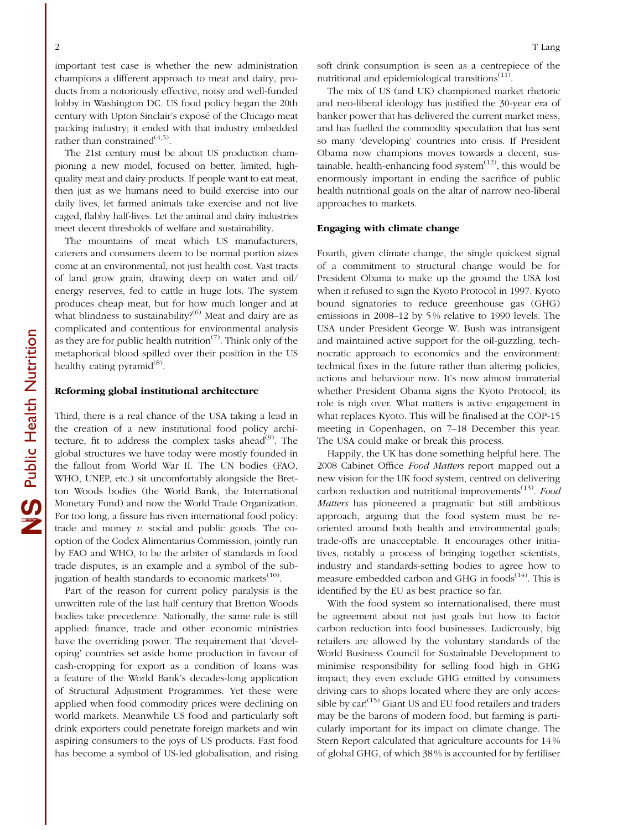important test case is whether the new administration champions a different approach to meat and dairy, products from a notoriously effective, noisy and well-funded lobby in Washington DC. US food policy began the 20th century with Upton Sinclair's expose´ of the Chicago meat packing industry; it ended with that industry embedded rather than constrained $(4,5)$ .

The 21st century must be about US production championing a new model, focused on better, limited, highquality meat and dairy products. If people want to eat meat, then just as we humans need to build exercise into our daily lives, let farmed animals take exercise and not live caged, flabby half-lives. Let the animal and dairy industries meet decent thresholds of welfare and sustainability.

The mountains of meat which US manufacturers, caterers and consumers deem to be normal portion sizes come at an environmental, not just health cost. Vast tracts of land grow grain, drawing deep on water and oil/ energy reserves, fed to cattle in huge lots. The system produces cheap meat, but for how much longer and at what blindness to sustainability? $(6)$  Meat and dairy are as complicated and contentious for environmental analysis as they are for public health nutrition<sup> $(7)$ </sup>. Think only of the metaphorical blood spilled over their position in the US healthy eating pyramid<sup>(8)</sup>.

#### Reforming global institutional architecture

Third, there is a real chance of the USA taking a lead in the creation of a new institutional food policy architecture, fit to address the complex tasks ahead $^{(9)}$ . The global structures we have today were mostly founded in the fallout from World War II. The UN bodies (FAO, WHO, UNEP, etc.) sit uncomfortably alongside the Bretton Woods bodies (the World Bank, the International Monetary Fund) and now the World Trade Organization. For too long, a fissure has riven international food policy: trade and money  $v$ . social and public goods. The cooption of the Codex Alimentarius Commission, jointly run by FAO and WHO, to be the arbiter of standards in food trade disputes, is an example and a symbol of the subjugation of health standards to economic markets<sup> $(10)$ </sup>.

Part of the reason for current policy paralysis is the unwritten rule of the last half century that Bretton Woods bodies take precedence. Nationally, the same rule is still applied: finance, trade and other economic ministries have the overriding power. The requirement that 'developing' countries set aside home production in favour of cash-cropping for export as a condition of loans was a feature of the World Bank's decades-long application of Structural Adjustment Programmes. Yet these were applied when food commodity prices were declining on world markets. Meanwhile US food and particularly soft drink exporters could penetrate foreign markets and win aspiring consumers to the joys of US products. Fast food has become a symbol of US-led globalisation, and rising soft drink consumption is seen as a centrepiece of the nutritional and epidemiological transitions $(11)$ .

The mix of US (and UK) championed market rhetoric and neo-liberal ideology has justified the 30-year era of banker power that has delivered the current market mess, and has fuelled the commodity speculation that has sent so many 'developing' countries into crisis. If President Obama now champions moves towards a decent, sustainable, health-enhancing food system $^{(12)}$ , this would be enormously important in ending the sacrifice of public health nutritional goals on the altar of narrow neo-liberal approaches to markets.

### Engaging with climate change

Fourth, given climate change, the single quickest signal of a commitment to structural change would be for President Obama to make up the ground the USA lost when it refused to sign the Kyoto Protocol in 1997. Kyoto bound signatories to reduce greenhouse gas (GHG) emissions in 2008–12 by 5 % relative to 1990 levels. The USA under President George W. Bush was intransigent and maintained active support for the oil-guzzling, technocratic approach to economics and the environment: technical fixes in the future rather than altering policies, actions and behaviour now. It's now almost immaterial whether President Obama signs the Kyoto Protocol; its role is nigh over. What matters is active engagement in what replaces Kyoto. This will be finalised at the COP-15 meeting in Copenhagen, on 7–18 December this year. The USA could make or break this process.

Happily, the UK has done something helpful here. The 2008 Cabinet Office Food Matters report mapped out a new vision for the UK food system, centred on delivering carbon reduction and nutritional improvements<sup> $(13)$ </sup>. Food Matters has pioneered a pragmatic but still ambitious approach, arguing that the food system must be reoriented around both health and environmental goals; trade-offs are unacceptable. It encourages other initiatives, notably a process of bringing together scientists, industry and standards-setting bodies to agree how to measure embedded carbon and GHG in  $foods<sup>(14)</sup>$ . This is identified by the EU as best practice so far.

With the food system so internationalised, there must be agreement about not just goals but how to factor carbon reduction into food businesses. Ludicrously, big retailers are allowed by the voluntary standards of the World Business Council for Sustainable Development to minimise responsibility for selling food high in GHG impact; they even exclude GHG emitted by consumers driving cars to shops located where they are only accessible by car!<sup>(15)</sup> Giant US and EU food retailers and traders may be the barons of modern food, but farming is particularly important for its impact on climate change. The Stern Report calculated that agriculture accounts for 14 % of global GHG, of which 38 % is accounted for by fertiliser